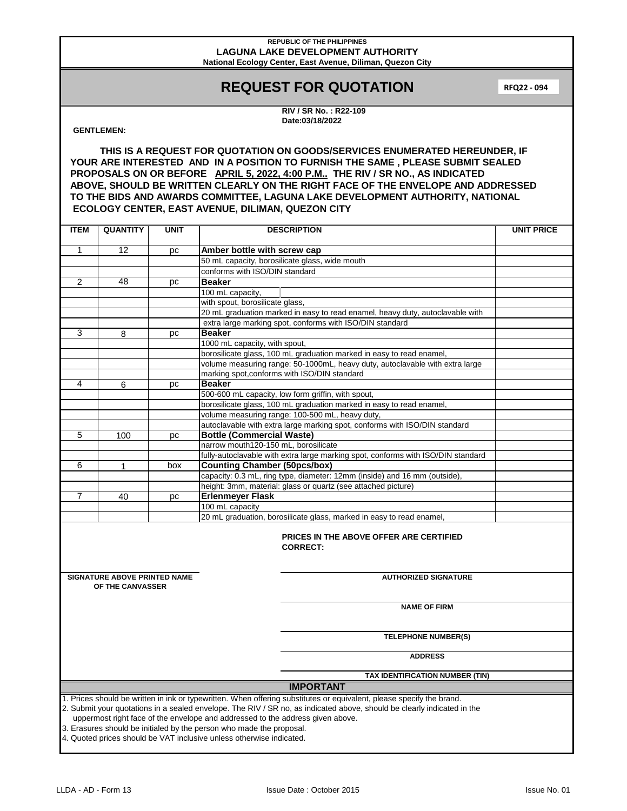# **REQUEST FOR QUOTATION**

**RFQ22 - 094**

**RIV / SR No. : R22-109 Date:03/18/2022**

### **GENTLEMEN:**

| <b>ITEM</b>                                                                                                                                                                                                                                                                                                                                                                                                                                                                        | <b>QUANTITY</b>                                                   | <b>UNIT</b> | <b>DESCRIPTION</b>                                                               | <b>UNIT PRICE</b> |  |  |
|------------------------------------------------------------------------------------------------------------------------------------------------------------------------------------------------------------------------------------------------------------------------------------------------------------------------------------------------------------------------------------------------------------------------------------------------------------------------------------|-------------------------------------------------------------------|-------------|----------------------------------------------------------------------------------|-------------------|--|--|
| $\mathbf{1}$                                                                                                                                                                                                                                                                                                                                                                                                                                                                       | 12                                                                | pc          | Amber bottle with screw cap                                                      |                   |  |  |
|                                                                                                                                                                                                                                                                                                                                                                                                                                                                                    |                                                                   |             | 50 mL capacity, borosilicate glass, wide mouth                                   |                   |  |  |
|                                                                                                                                                                                                                                                                                                                                                                                                                                                                                    |                                                                   |             | conforms with ISO/DIN standard                                                   |                   |  |  |
| 2                                                                                                                                                                                                                                                                                                                                                                                                                                                                                  | 48                                                                | pc          | <b>Beaker</b>                                                                    |                   |  |  |
|                                                                                                                                                                                                                                                                                                                                                                                                                                                                                    |                                                                   |             | 100 mL capacity,                                                                 |                   |  |  |
|                                                                                                                                                                                                                                                                                                                                                                                                                                                                                    |                                                                   |             | with spout, borosilicate glass,                                                  |                   |  |  |
|                                                                                                                                                                                                                                                                                                                                                                                                                                                                                    |                                                                   |             | 20 mL graduation marked in easy to read enamel, heavy duty, autoclavable with    |                   |  |  |
|                                                                                                                                                                                                                                                                                                                                                                                                                                                                                    |                                                                   |             | extra large marking spot, conforms with ISO/DIN standard                         |                   |  |  |
| 3                                                                                                                                                                                                                                                                                                                                                                                                                                                                                  | 8                                                                 | pc          | <b>Beaker</b>                                                                    |                   |  |  |
|                                                                                                                                                                                                                                                                                                                                                                                                                                                                                    |                                                                   |             | 1000 mL capacity, with spout,                                                    |                   |  |  |
|                                                                                                                                                                                                                                                                                                                                                                                                                                                                                    |                                                                   |             | borosilicate glass, 100 mL graduation marked in easy to read enamel,             |                   |  |  |
|                                                                                                                                                                                                                                                                                                                                                                                                                                                                                    |                                                                   |             | volume measuring range: 50-1000mL, heavy duty, autoclavable with extra large     |                   |  |  |
|                                                                                                                                                                                                                                                                                                                                                                                                                                                                                    |                                                                   |             | marking spot, conforms with ISO/DIN standard                                     |                   |  |  |
| 4                                                                                                                                                                                                                                                                                                                                                                                                                                                                                  | 6                                                                 | pc          | <b>Beaker</b>                                                                    |                   |  |  |
|                                                                                                                                                                                                                                                                                                                                                                                                                                                                                    |                                                                   |             | 500-600 mL capacity, low form griffin, with spout,                               |                   |  |  |
|                                                                                                                                                                                                                                                                                                                                                                                                                                                                                    |                                                                   |             | borosilicate glass, 100 mL graduation marked in easy to read enamel,             |                   |  |  |
|                                                                                                                                                                                                                                                                                                                                                                                                                                                                                    |                                                                   |             | volume measuring range: 100-500 mL, heavy duty,                                  |                   |  |  |
|                                                                                                                                                                                                                                                                                                                                                                                                                                                                                    |                                                                   |             | autoclavable with extra large marking spot, conforms with ISO/DIN standard       |                   |  |  |
| 5                                                                                                                                                                                                                                                                                                                                                                                                                                                                                  | 100                                                               | рc          | <b>Bottle (Commercial Waste)</b>                                                 |                   |  |  |
|                                                                                                                                                                                                                                                                                                                                                                                                                                                                                    |                                                                   |             | narrow mouth120-150 mL, borosilicate                                             |                   |  |  |
|                                                                                                                                                                                                                                                                                                                                                                                                                                                                                    |                                                                   |             | fully-autoclavable with extra large marking spot, conforms with ISO/DIN standard |                   |  |  |
| 6                                                                                                                                                                                                                                                                                                                                                                                                                                                                                  | 1                                                                 | box         | <b>Counting Chamber (50pcs/box)</b>                                              |                   |  |  |
|                                                                                                                                                                                                                                                                                                                                                                                                                                                                                    |                                                                   |             | capacity: 0.3 mL, ring type, diameter: 12mm (inside) and 16 mm (outside)         |                   |  |  |
|                                                                                                                                                                                                                                                                                                                                                                                                                                                                                    |                                                                   |             | height: 3mm, material: glass or quartz (see attached picture)                    |                   |  |  |
| 7                                                                                                                                                                                                                                                                                                                                                                                                                                                                                  | 40                                                                | pc          | <b>Erlenmeyer Flask</b>                                                          |                   |  |  |
|                                                                                                                                                                                                                                                                                                                                                                                                                                                                                    |                                                                   |             | 100 mL capacity                                                                  |                   |  |  |
|                                                                                                                                                                                                                                                                                                                                                                                                                                                                                    |                                                                   |             | 20 mL graduation, borosilicate glass, marked in easy to read enamel,             |                   |  |  |
|                                                                                                                                                                                                                                                                                                                                                                                                                                                                                    | <b>PRICES IN THE ABOVE OFFER ARE CERTIFIED</b><br><b>CORRECT:</b> |             |                                                                                  |                   |  |  |
|                                                                                                                                                                                                                                                                                                                                                                                                                                                                                    | <b>SIGNATURE ABOVE PRINTED NAME</b>                               |             | <b>AUTHORIZED SIGNATURE</b>                                                      |                   |  |  |
| OF THE CANVASSER                                                                                                                                                                                                                                                                                                                                                                                                                                                                   |                                                                   |             |                                                                                  |                   |  |  |
|                                                                                                                                                                                                                                                                                                                                                                                                                                                                                    |                                                                   |             | <b>NAME OF FIRM</b>                                                              |                   |  |  |
|                                                                                                                                                                                                                                                                                                                                                                                                                                                                                    |                                                                   |             | <b>TELEPHONE NUMBER(S)</b>                                                       |                   |  |  |
|                                                                                                                                                                                                                                                                                                                                                                                                                                                                                    |                                                                   |             | <b>ADDRESS</b>                                                                   |                   |  |  |
|                                                                                                                                                                                                                                                                                                                                                                                                                                                                                    |                                                                   |             |                                                                                  |                   |  |  |
| TAX IDENTIFICATION NUMBER (TIN)                                                                                                                                                                                                                                                                                                                                                                                                                                                    |                                                                   |             |                                                                                  |                   |  |  |
| <b>IMPORTANT</b>                                                                                                                                                                                                                                                                                                                                                                                                                                                                   |                                                                   |             |                                                                                  |                   |  |  |
| 1. Prices should be written in ink or typewritten. When offering substitutes or equivalent, please specify the brand.<br>2. Submit your quotations in a sealed envelope. The RIV / SR no, as indicated above, should be clearly indicated in the<br>uppermost right face of the envelope and addressed to the address given above.<br>3. Erasures should be initialed by the person who made the proposal.<br>4. Quoted prices should be VAT inclusive unless otherwise indicated. |                                                                   |             |                                                                                  |                   |  |  |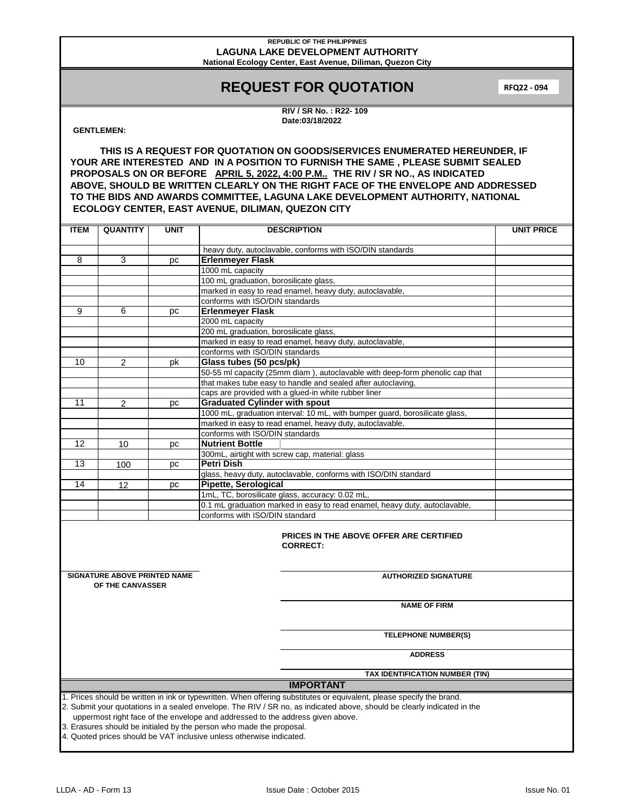# **REQUEST FOR QUOTATION**

**RFQ22 - 094**

**RIV / SR No. : R22- 109 Date:03/18/2022**

## **GENTLEMEN:**

| <b>ITEM</b>                                                                                                                                                                                               | <b>QUANTITY</b>                                                      | <b>UNIT</b> | <b>DESCRIPTION</b>                                                           | <b>UNIT PRICE</b> |  |
|-----------------------------------------------------------------------------------------------------------------------------------------------------------------------------------------------------------|----------------------------------------------------------------------|-------------|------------------------------------------------------------------------------|-------------------|--|
|                                                                                                                                                                                                           |                                                                      |             | heavy duty, autoclavable, conforms with ISO/DIN standards                    |                   |  |
| 8                                                                                                                                                                                                         | 3                                                                    | pc          | <b>Erlenmeyer Flask</b>                                                      |                   |  |
|                                                                                                                                                                                                           |                                                                      |             | 1000 mL capacity                                                             |                   |  |
|                                                                                                                                                                                                           |                                                                      |             | 100 mL graduation, borosilicate glass,                                       |                   |  |
|                                                                                                                                                                                                           |                                                                      |             | marked in easy to read enamel, heavy duty, autoclavable,                     |                   |  |
|                                                                                                                                                                                                           |                                                                      |             | conforms with ISO/DIN standards                                              |                   |  |
| 9                                                                                                                                                                                                         | 6                                                                    | рc          | <b>Erlenmeyer Flask</b>                                                      |                   |  |
|                                                                                                                                                                                                           |                                                                      |             | 2000 mL capacity                                                             |                   |  |
|                                                                                                                                                                                                           |                                                                      |             | 200 mL graduation, borosilicate glass,                                       |                   |  |
|                                                                                                                                                                                                           |                                                                      |             | marked in easy to read enamel, heavy duty, autoclavable,                     |                   |  |
|                                                                                                                                                                                                           |                                                                      |             | conforms with ISO/DIN standards                                              |                   |  |
| 10                                                                                                                                                                                                        | 2                                                                    | pk          | Glass tubes (50 pcs/pk)                                                      |                   |  |
|                                                                                                                                                                                                           |                                                                      |             | 50-55 ml capacity (25mm diam), autoclavable with deep-form phenolic cap that |                   |  |
|                                                                                                                                                                                                           |                                                                      |             | that makes tube easy to handle and sealed after autoclaving,                 |                   |  |
|                                                                                                                                                                                                           |                                                                      |             | caps are provided with a glued-in white rubber liner                         |                   |  |
| 11                                                                                                                                                                                                        | $\overline{c}$                                                       | рc          | <b>Graduated Cylinder with spout</b>                                         |                   |  |
|                                                                                                                                                                                                           |                                                                      |             | 1000 mL, graduation interval: 10 mL, with bumper guard, borosilicate glass,  |                   |  |
|                                                                                                                                                                                                           |                                                                      |             | marked in easy to read enamel, heavy duty, autoclavable,                     |                   |  |
|                                                                                                                                                                                                           |                                                                      |             | conforms with ISO/DIN standards                                              |                   |  |
| 12                                                                                                                                                                                                        | 10                                                                   | рc          | <b>Nutrient Bottle</b>                                                       |                   |  |
|                                                                                                                                                                                                           |                                                                      |             | 300mL, airtight with screw cap, material: glass                              |                   |  |
| 13                                                                                                                                                                                                        |                                                                      |             | <b>Petri Dish</b>                                                            |                   |  |
|                                                                                                                                                                                                           | 100                                                                  | рc          | glass, heavy duty, autoclavable, conforms with ISO/DIN standard              |                   |  |
| 14                                                                                                                                                                                                        | 12                                                                   |             | Pipette, Serological                                                         |                   |  |
|                                                                                                                                                                                                           |                                                                      | рc          | 1mL, TC, borosilicate glass, accuracy: 0.02 mL,                              |                   |  |
|                                                                                                                                                                                                           |                                                                      |             | 0.1 mL graduation marked in easy to read enamel, heavy duty, autoclavable,   |                   |  |
|                                                                                                                                                                                                           |                                                                      |             | conforms with ISO/DIN standard                                               |                   |  |
|                                                                                                                                                                                                           |                                                                      |             |                                                                              |                   |  |
| <b>PRICES IN THE ABOVE OFFER ARE CERTIFIED</b><br><b>CORRECT:</b>                                                                                                                                         |                                                                      |             |                                                                              |                   |  |
|                                                                                                                                                                                                           | <b>SIGNATURE ABOVE PRINTED NAME</b>                                  |             | <b>AUTHORIZED SIGNATURE</b>                                                  |                   |  |
|                                                                                                                                                                                                           | OF THE CANVASSER                                                     |             |                                                                              |                   |  |
|                                                                                                                                                                                                           |                                                                      |             |                                                                              |                   |  |
|                                                                                                                                                                                                           |                                                                      |             | <b>NAME OF FIRM</b>                                                          |                   |  |
|                                                                                                                                                                                                           |                                                                      |             |                                                                              |                   |  |
|                                                                                                                                                                                                           |                                                                      |             | <b>TELEPHONE NUMBER(S)</b>                                                   |                   |  |
|                                                                                                                                                                                                           |                                                                      |             | <b>ADDRESS</b>                                                               |                   |  |
|                                                                                                                                                                                                           |                                                                      |             |                                                                              |                   |  |
| TAX IDENTIFICATION NUMBER (TIN)<br><b>IMPORTANT</b>                                                                                                                                                       |                                                                      |             |                                                                              |                   |  |
|                                                                                                                                                                                                           |                                                                      |             |                                                                              |                   |  |
| 1. Prices should be written in ink or typewritten. When offering substitutes or equivalent, please specify the brand.                                                                                     |                                                                      |             |                                                                              |                   |  |
| 2. Submit your quotations in a sealed envelope. The RIV / SR no, as indicated above, should be clearly indicated in the<br>uppermost right face of the envelope and addressed to the address given above. |                                                                      |             |                                                                              |                   |  |
|                                                                                                                                                                                                           | 3. Erasures should be initialed by the person who made the proposal. |             |                                                                              |                   |  |
| 4. Quoted prices should be VAT inclusive unless otherwise indicated.                                                                                                                                      |                                                                      |             |                                                                              |                   |  |
|                                                                                                                                                                                                           |                                                                      |             |                                                                              |                   |  |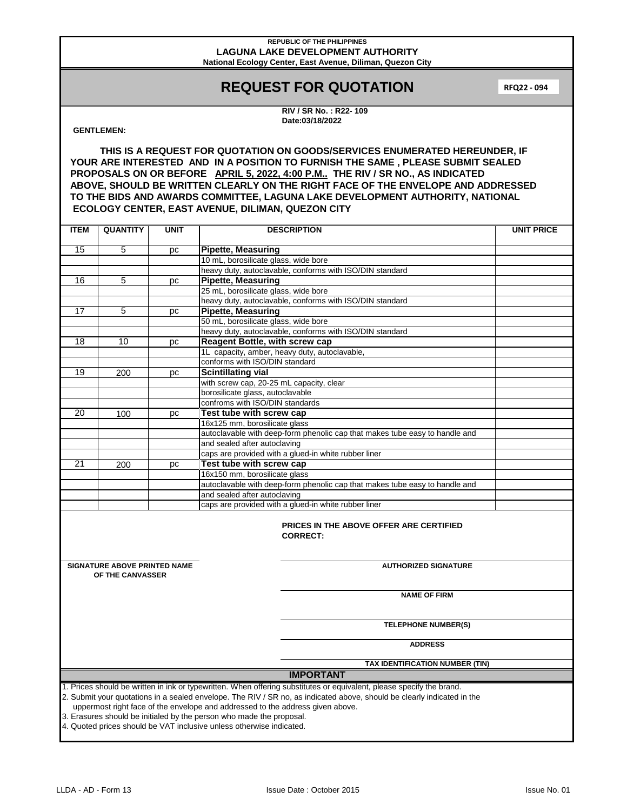# **REQUEST FOR QUOTATION**

**RFQ22 - 094**

**RIV / SR No. : R22- 109 Date:03/18/2022**

## **GENTLEMEN:**

| <b>ITEM</b>                                                                                                                                                                                                                                                                                                                                                                                                                                                                        | <b>QUANTITY</b>                                                   | <b>UNIT</b> | <b>DESCRIPTION</b>                                                          | <b>UNIT PRICE</b> |  |  |
|------------------------------------------------------------------------------------------------------------------------------------------------------------------------------------------------------------------------------------------------------------------------------------------------------------------------------------------------------------------------------------------------------------------------------------------------------------------------------------|-------------------------------------------------------------------|-------------|-----------------------------------------------------------------------------|-------------------|--|--|
| 15                                                                                                                                                                                                                                                                                                                                                                                                                                                                                 | 5                                                                 | рc          | <b>Pipette, Measuring</b>                                                   |                   |  |  |
|                                                                                                                                                                                                                                                                                                                                                                                                                                                                                    |                                                                   |             | 10 mL, borosilicate glass, wide bore                                        |                   |  |  |
|                                                                                                                                                                                                                                                                                                                                                                                                                                                                                    |                                                                   |             | heavy duty, autoclavable, conforms with ISO/DIN standard                    |                   |  |  |
| 16                                                                                                                                                                                                                                                                                                                                                                                                                                                                                 | 5                                                                 | pc          | <b>Pipette, Measuring</b>                                                   |                   |  |  |
|                                                                                                                                                                                                                                                                                                                                                                                                                                                                                    |                                                                   |             | 25 mL, borosilicate glass, wide bore                                        |                   |  |  |
|                                                                                                                                                                                                                                                                                                                                                                                                                                                                                    |                                                                   |             | heavy duty, autoclavable, conforms with ISO/DIN standard                    |                   |  |  |
| 17                                                                                                                                                                                                                                                                                                                                                                                                                                                                                 | 5                                                                 | pc          | <b>Pipette, Measuring</b>                                                   |                   |  |  |
|                                                                                                                                                                                                                                                                                                                                                                                                                                                                                    |                                                                   |             | 50 mL, borosilicate glass, wide bore                                        |                   |  |  |
|                                                                                                                                                                                                                                                                                                                                                                                                                                                                                    |                                                                   |             | heavy duty, autoclavable, conforms with ISO/DIN standard                    |                   |  |  |
| 18                                                                                                                                                                                                                                                                                                                                                                                                                                                                                 | 10                                                                | pc          | <b>Reagent Bottle, with screw cap</b>                                       |                   |  |  |
|                                                                                                                                                                                                                                                                                                                                                                                                                                                                                    |                                                                   |             | 1L capacity, amber, heavy duty, autoclavable,                               |                   |  |  |
|                                                                                                                                                                                                                                                                                                                                                                                                                                                                                    |                                                                   |             | conforms with ISO/DIN standard                                              |                   |  |  |
| 19                                                                                                                                                                                                                                                                                                                                                                                                                                                                                 | 200                                                               | pc          | <b>Scintillating vial</b>                                                   |                   |  |  |
|                                                                                                                                                                                                                                                                                                                                                                                                                                                                                    |                                                                   |             | with screw cap, 20-25 mL capacity, clear                                    |                   |  |  |
|                                                                                                                                                                                                                                                                                                                                                                                                                                                                                    |                                                                   |             | borosilicate glass, autoclavable                                            |                   |  |  |
|                                                                                                                                                                                                                                                                                                                                                                                                                                                                                    |                                                                   |             | confroms with ISO/DIN standards                                             |                   |  |  |
| 20                                                                                                                                                                                                                                                                                                                                                                                                                                                                                 | 100                                                               | рc          | Test tube with screw cap                                                    |                   |  |  |
|                                                                                                                                                                                                                                                                                                                                                                                                                                                                                    |                                                                   |             | 16x125 mm, borosilicate glass                                               |                   |  |  |
|                                                                                                                                                                                                                                                                                                                                                                                                                                                                                    |                                                                   |             | autoclavable with deep-form phenolic cap that makes tube easy to handle and |                   |  |  |
|                                                                                                                                                                                                                                                                                                                                                                                                                                                                                    |                                                                   |             | and sealed after autoclaving                                                |                   |  |  |
|                                                                                                                                                                                                                                                                                                                                                                                                                                                                                    |                                                                   |             | caps are provided with a glued-in white rubber liner                        |                   |  |  |
| 21                                                                                                                                                                                                                                                                                                                                                                                                                                                                                 | 200                                                               | рc          | Test tube with screw cap                                                    |                   |  |  |
|                                                                                                                                                                                                                                                                                                                                                                                                                                                                                    |                                                                   |             | 16x150 mm, borosilicate glass                                               |                   |  |  |
|                                                                                                                                                                                                                                                                                                                                                                                                                                                                                    |                                                                   |             | autoclavable with deep-form phenolic cap that makes tube easy to handle and |                   |  |  |
|                                                                                                                                                                                                                                                                                                                                                                                                                                                                                    |                                                                   |             | and sealed after autoclaving                                                |                   |  |  |
|                                                                                                                                                                                                                                                                                                                                                                                                                                                                                    |                                                                   |             | caps are provided with a glued-in white rubber liner                        |                   |  |  |
|                                                                                                                                                                                                                                                                                                                                                                                                                                                                                    | <b>PRICES IN THE ABOVE OFFER ARE CERTIFIED</b><br><b>CORRECT:</b> |             |                                                                             |                   |  |  |
| <b>SIGNATURE ABOVE PRINTED NAME</b><br>OF THE CANVASSER                                                                                                                                                                                                                                                                                                                                                                                                                            |                                                                   |             | <b>AUTHORIZED SIGNATURE</b>                                                 |                   |  |  |
|                                                                                                                                                                                                                                                                                                                                                                                                                                                                                    | <b>NAME OF FIRM</b>                                               |             |                                                                             |                   |  |  |
|                                                                                                                                                                                                                                                                                                                                                                                                                                                                                    |                                                                   |             | <b>TELEPHONE NUMBER(S)</b>                                                  |                   |  |  |
|                                                                                                                                                                                                                                                                                                                                                                                                                                                                                    |                                                                   |             | <b>ADDRESS</b>                                                              |                   |  |  |
| TAX IDENTIFICATION NUMBER (TIN)                                                                                                                                                                                                                                                                                                                                                                                                                                                    |                                                                   |             |                                                                             |                   |  |  |
| <b>IMPORTANT</b>                                                                                                                                                                                                                                                                                                                                                                                                                                                                   |                                                                   |             |                                                                             |                   |  |  |
| 1. Prices should be written in ink or typewritten. When offering substitutes or equivalent, please specify the brand.<br>2. Submit your quotations in a sealed envelope. The RIV / SR no, as indicated above, should be clearly indicated in the<br>uppermost right face of the envelope and addressed to the address given above.<br>3. Erasures should be initialed by the person who made the proposal.<br>4. Quoted prices should be VAT inclusive unless otherwise indicated. |                                                                   |             |                                                                             |                   |  |  |